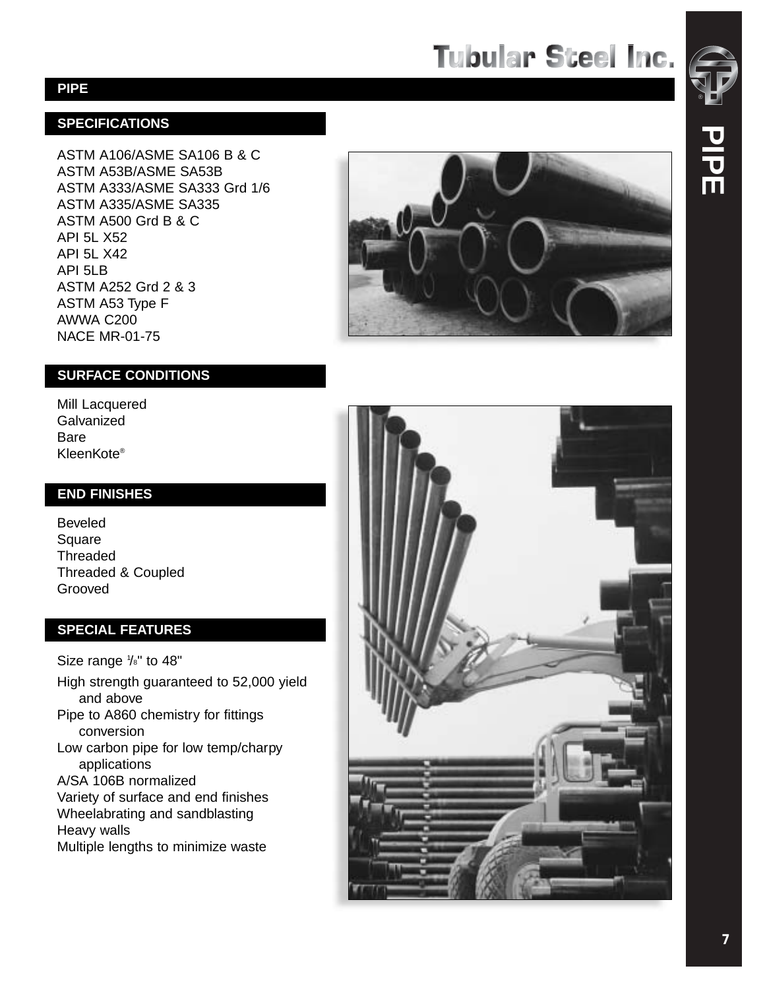# **Tubular Steel Inc.**

#### **SPECIFICATIONS**

ASTM A106/ASME SA106 B & C ASTM A53B/ASME SA53B ASTM A333/ASME SA333 Grd 1/6 ASTM A335/ASME SA335 ASTM A500 Grd B & C API 5L X52 API 5L X42 API 5LB ASTM A252 Grd 2 & 3 ASTM A53 Type F AWWA C200 NACE MR-01-75



#### **SURFACE CONDITIONS**

Mill Lacquered Galvanized Bare KleenKote ®

#### **END FINISHES**

Beveled Square Threaded Threaded & Coupled Grooved

#### **SPECIAL FEATURES**

Size range  $\frac{1}{8}$ " to 48" High strength guaranteed to 52,000 yield and above Pipe to A860 chemistry for fittings conversion Low carbon pipe for low temp/charpy applications A/SA 106B normalized Va riety of surface and end finishes Wheelabrating and sandblasting Heavy walls Multiple lengths to minimize waste

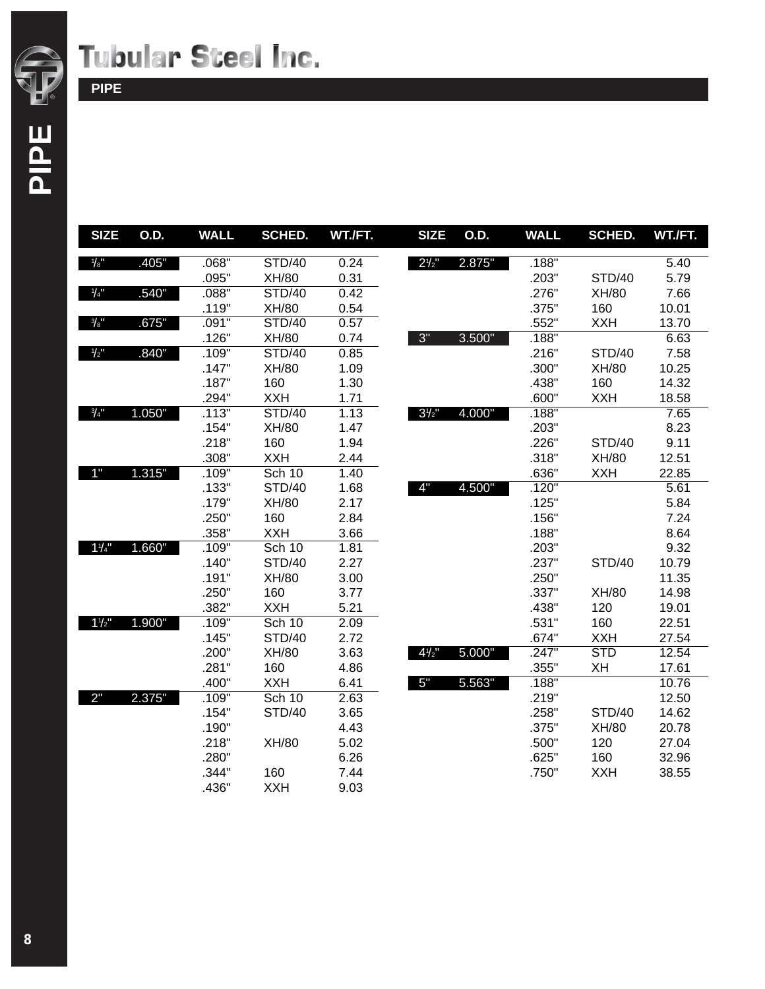

### **Tubular Steel Inc.**

**PIPE**

| <b>SIZE</b>     | O.D.   | <b>WALL</b> | <b>SCHED.</b> | WT./FT. | <b>SIZE</b>      | 0.D.   | <b>WALL</b> | <b>SCHED.</b> | WT./FT. |
|-----------------|--------|-------------|---------------|---------|------------------|--------|-------------|---------------|---------|
| 1/8"            | .405"  | .068"       | <b>STD/40</b> | 0.24    | $2^{1/2}$        | 2.875" | .188"       |               | 5.40    |
|                 |        | .095"       | XH/80         | 0.31    |                  |        | .203"       | STD/40        | 5.79    |
| $\frac{1}{4}$   | .540"  | .088"       | <b>STD/40</b> | 0.42    |                  |        | .276"       | XH/80         | 7.66    |
|                 |        | .119"       | XH/80         | 0.54    |                  |        | .375"       | 160           | 10.01   |
| $\frac{3}{8}$ " | .675"  | .091"       | <b>STD/40</b> | 0.57    |                  |        | .552"       | <b>XXH</b>    | 13.70   |
|                 |        | .126"       | XH/80         | 0.74    | 3"               | 3.500" | .188"       |               | 6.63    |
| $\frac{1}{2}$   | .840"  | .109"       | <b>STD/40</b> | 0.85    |                  |        | .216"       | <b>STD/40</b> | 7.58    |
|                 |        | .147"       | XH/80         | 1.09    |                  |        | .300"       | XH/80         | 10.25   |
|                 |        | .187"       | 160           | 1.30    |                  |        | .438"       | 160           | 14.32   |
|                 |        | .294"       | <b>XXH</b>    | 1.71    |                  |        | .600"       | <b>XXH</b>    | 18.58   |
| $\frac{3}{4}$ " | 1.050" | .113"       | <b>STD/40</b> | 1.13    | $3^{1/2}$        | 4.000" | .188"       |               | 7.65    |
|                 |        | .154"       | XH/80         | 1.47    |                  |        | .203"       |               | 8.23    |
|                 |        | .218"       | 160           | 1.94    |                  |        | .226"       | <b>STD/40</b> | 9.11    |
|                 |        | .308"       | <b>XXH</b>    | 2.44    |                  |        | .318"       | XH/80         | 12.51   |
| 1"              | 1.315" | .109"       | <b>Sch 10</b> | 1.40    |                  |        | .636"       | <b>XXH</b>    | 22.85   |
|                 |        | .133"       | <b>STD/40</b> | 1.68    | 4"               | 4.500" | .120"       |               | 5.61    |
|                 |        | .179"       | XH/80         | 2.17    |                  |        | .125"       |               | 5.84    |
|                 |        | .250"       | 160           | 2.84    |                  |        | .156"       |               | 7.24    |
|                 |        | .358"       | <b>XXH</b>    | 3.66    |                  |        | .188"       |               | 8.64    |
| $1\frac{1}{4}$  | 1.660" | .109"       | <b>Sch 10</b> | 1.81    |                  |        | .203"       |               | 9.32    |
|                 |        | .140"       | <b>STD/40</b> | 2.27    |                  |        | .237"       | <b>STD/40</b> | 10.79   |
|                 |        | .191"       | XH/80         | 3.00    |                  |        | .250"       |               | 11.35   |
|                 |        | .250"       | 160           | 3.77    |                  |        | .337"       | XH/80         | 14.98   |
|                 |        | .382"       | <b>XXH</b>    | 5.21    |                  |        | .438"       | 120           | 19.01   |
| $1\frac{1}{2}$  | 1.900" | .109"       | <b>Sch 10</b> | 2.09    |                  |        | .531"       | 160           | 22.51   |
|                 |        | .145"       | <b>STD/40</b> | 2.72    |                  |        | .674"       | <b>XXH</b>    | 27.54   |
|                 |        | .200"       | XH/80         | 3.63    | $4\frac{1}{2}$ " | 5.000" | .247"       | <b>STD</b>    | 12.54   |
|                 |        | .281"       | 160           | 4.86    |                  |        | .355"       | XH            | 17.61   |
|                 |        | .400"       | <b>XXH</b>    | 6.41    | 5"               | 5.563" | .188"       |               | 10.76   |
| 2"              | 2.375" | .109"       | <b>Sch 10</b> | 2.63    |                  |        | .219"       |               | 12.50   |
|                 |        | .154"       | <b>STD/40</b> | 3.65    |                  |        | .258"       | <b>STD/40</b> | 14.62   |
|                 |        | .190"       |               | 4.43    |                  |        | .375"       | XH/80         | 20.78   |
|                 |        | .218"       | XH/80         | 5.02    |                  |        | .500"       | 120           | 27.04   |
|                 |        | .280"       |               | 6.26    |                  |        | .625"       | 160           | 32.96   |
|                 |        | .344"       | 160           | 7.44    |                  |        | .750"       | <b>XXH</b>    | 38.55   |
|                 |        | .436"       | <b>XXH</b>    | 9.03    |                  |        |             |               |         |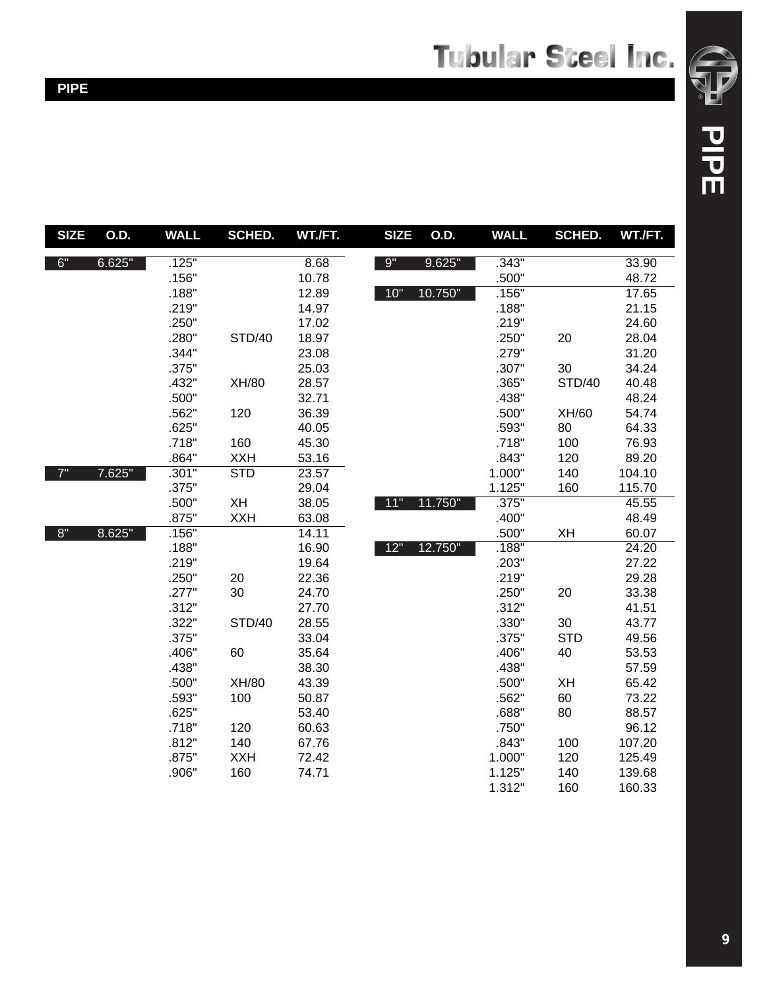| <b>SIZE</b> | <b>O.D.</b> | WALL  | <b>SCHED.</b>           | WT./FT. | <b>SIZE</b> | <b>O.D.</b> | <b>WALL</b> | <b>SCHED.</b> | WT./FT. |
|-------------|-------------|-------|-------------------------|---------|-------------|-------------|-------------|---------------|---------|
| 6"          | 6.625"      | .125" |                         | 8.68    | 9"          | 9.625"      | .343"       |               | 33.90   |
|             |             | .156" |                         | 10.78   |             |             | .500"       |               | 48.72   |
|             |             | .188" |                         | 12.89   | $10"$       | 10.750"     | .156"       |               | 17.65   |
|             |             | .219" |                         | 14.97   |             |             | .188"       |               | 21.15   |
|             |             | .250" |                         | 17.02   |             |             | .219"       |               | 24.60   |
|             |             | .280" | <b>STD/40</b>           | 18.97   |             |             | .250"       | 20            | 28.04   |
|             |             | .344" |                         | 23.08   |             |             | .279"       |               | 31.20   |
|             |             | .375" |                         | 25.03   |             |             | .307"       | 30            | 34.24   |
|             |             | .432" | XH/80                   | 28.57   |             |             | .365"       | <b>STD/40</b> | 40.48   |
|             |             | .500" |                         | 32.71   |             |             | .438"       |               | 48.24   |
|             |             | .562" | 120                     | 36.39   |             |             | .500"       | XH/60         | 54.74   |
|             |             | .625" |                         | 40.05   |             |             | .593"       | 80            | 64.33   |
|             |             | .718" | 160                     | 45.30   |             |             | .718"       | 100           | 76.93   |
|             |             | .864" | <b>XXH</b>              | 53.16   |             |             | .843"       | 120           | 89.20   |
| 7"          | 7.625"      | .301" | $\overline{\text{STD}}$ | 23.57   |             |             | 1.000"      | 140           | 104.10  |
|             |             | .375" |                         | 29.04   |             |             | 1.125"      | 160           | 115.70  |
|             |             | .500" | XH                      | 38.05   | 11"         | 11.750"     | .375"       |               | 45.55   |
|             |             | .875" | <b>XXH</b>              | 63.08   |             |             | .400"       |               | 48.49   |
| $8"$        | 8.625"      | .156" |                         | 14.11   |             |             | .500"       | XH            | 60.07   |
|             |             | .188" |                         | 16.90   | 12"         | 12.750"     | .188"       |               | 24.20   |
|             |             | .219" |                         | 19.64   |             |             | .203"       |               | 27.22   |
|             |             | .250" | 20                      | 22.36   |             |             | .219"       |               | 29.28   |
|             |             | .277" | 30                      | 24.70   |             |             | .250"       | 20            | 33.38   |
|             |             | .312" |                         | 27.70   |             |             | .312"       |               | 41.51   |
|             |             | .322" | <b>STD/40</b>           | 28.55   |             |             | .330"       | 30            | 43.77   |
|             |             | .375" |                         | 33.04   |             |             | .375"       | <b>STD</b>    | 49.56   |
|             |             | .406" | 60                      | 35.64   |             |             | .406"       | 40            | 53.53   |
|             |             | .438" |                         | 38.30   |             |             | .438"       |               | 57.59   |
|             |             | .500" | XH/80                   | 43.39   |             |             | .500"       | XH            | 65.42   |
|             |             | .593" | 100                     | 50.87   |             |             | .562"       | 60            | 73.22   |
|             |             | .625" |                         | 53.40   |             |             | .688"       | 80            | 88.57   |
|             |             | .718" | 120                     | 60.63   |             |             | .750"       |               | 96.12   |
|             |             | .812" | 140                     | 67.76   |             |             | .843"       | 100           | 107.20  |
|             |             | .875" | <b>XXH</b>              | 72.42   |             |             | 1.000"      | 120           | 125.49  |
|             |             | .906" | 160                     | 74.71   |             |             | 1.125"      | 140           | 139.68  |
|             |             |       |                         |         |             |             | 1.312"      | 160           | 160.33  |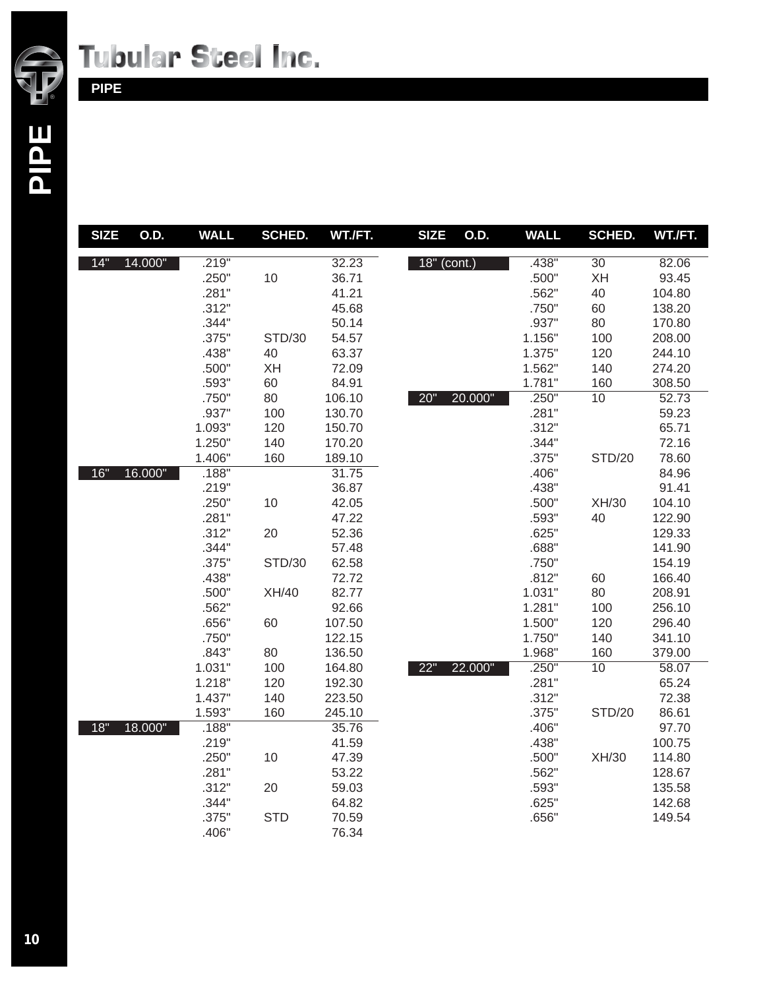

## **Tubular Steel Inc.**

### **PIPE**

| <b>SIZE</b> | O.D.    | <b>WALL</b> | SCHED.        | WT./FT. | <b>SIZE</b>   | O.D.    | <b>WALL</b> | SCHED.          | WT./FT. |
|-------------|---------|-------------|---------------|---------|---------------|---------|-------------|-----------------|---------|
| 14"         | 14.000" | .219"       |               | 32.23   | $18"$ (cont.) |         | .438"       | 30              | 82.06   |
|             |         | .250"       | 10            | 36.71   |               |         | .500"       | XH              | 93.45   |
|             |         | .281"       |               | 41.21   |               |         | .562"       | 40              | 104.80  |
|             |         | .312"       |               | 45.68   |               |         | .750"       | 60              | 138.20  |
|             |         | .344"       |               | 50.14   |               |         | .937"       | 80              | 170.80  |
|             |         | .375"       | <b>STD/30</b> | 54.57   |               |         | 1.156"      | 100             | 208.00  |
|             |         | .438"       | 40            | 63.37   |               |         | 1.375"      | 120             | 244.10  |
|             |         | .500"       | <b>XH</b>     | 72.09   |               |         | 1.562"      | 140             | 274.20  |
|             |         | .593"       | 60            | 84.91   |               |         | 1.781"      | 160             | 308.50  |
|             |         | .750"       | 80            | 106.10  | 20"           | 20.000" | .250"       | $\overline{10}$ | 52.73   |
|             |         | .937"       | 100           | 130.70  |               |         | .281"       |                 | 59.23   |
|             |         | 1.093"      | 120           | 150.70  |               |         | .312"       |                 | 65.71   |
|             |         | 1.250"      | 140           | 170.20  |               |         | .344"       |                 | 72.16   |
|             |         | 1.406"      | 160           | 189.10  |               |         | .375"       | <b>STD/20</b>   | 78.60   |
| 16"         | 16.000" | .188"       |               | 31.75   |               |         | .406"       |                 | 84.96   |
|             |         | .219"       |               | 36.87   |               |         | .438"       |                 | 91.41   |
|             |         | .250"       | 10            | 42.05   |               |         | .500"       | XH/30           | 104.10  |
|             |         | .281"       |               | 47.22   |               |         | .593"       | 40              | 122.90  |
|             |         | .312"       | 20            | 52.36   |               |         | .625"       |                 | 129.33  |
|             |         | .344"       |               | 57.48   |               |         | .688"       |                 | 141.90  |
|             |         | .375"       | <b>STD/30</b> | 62.58   |               |         | .750"       |                 | 154.19  |
|             |         | .438"       |               | 72.72   |               |         | .812"       | 60              | 166.40  |
|             |         | .500"       | XH/40         | 82.77   |               |         | 1.031"      | 80              | 208.91  |
|             |         | .562"       |               | 92.66   |               |         | 1.281"      | 100             | 256.10  |
|             |         | .656"       | 60            | 107.50  |               |         | 1.500"      | 120             | 296.40  |
|             |         | .750"       |               | 122.15  |               |         | 1.750"      | 140             | 341.10  |
|             |         | .843"       | 80            | 136.50  |               |         | 1.968"      | 160             | 379.00  |
|             |         | 1.031"      | 100           | 164.80  | 22"           | 22.000" | .250"       | 10              | 58.07   |
|             |         | 1.218"      | 120           | 192.30  |               |         | .281"       |                 | 65.24   |
|             |         | 1.437"      | 140           | 223.50  |               |         | .312"       |                 | 72.38   |
|             |         | 1.593"      | 160           | 245.10  |               |         | .375"       | <b>STD/20</b>   | 86.61   |
| 18"         | 18.000" | .188"       |               | 35.76   |               |         | .406"       |                 | 97.70   |
|             |         | .219"       |               | 41.59   |               |         | .438"       |                 | 100.75  |
|             |         | .250"       | 10            | 47.39   |               |         | .500"       | XH/30           | 114.80  |
|             |         | .281"       |               | 53.22   |               |         | .562"       |                 | 128.67  |
|             |         | .312"       | 20            | 59.03   |               |         | .593"       |                 | 135.58  |
|             |         | .344"       |               | 64.82   |               |         | .625"       |                 | 142.68  |
|             |         | .375"       | <b>STD</b>    | 70.59   |               |         | .656"       |                 | 149.54  |
|             |         | .406"       |               | 76.34   |               |         |             |                 |         |